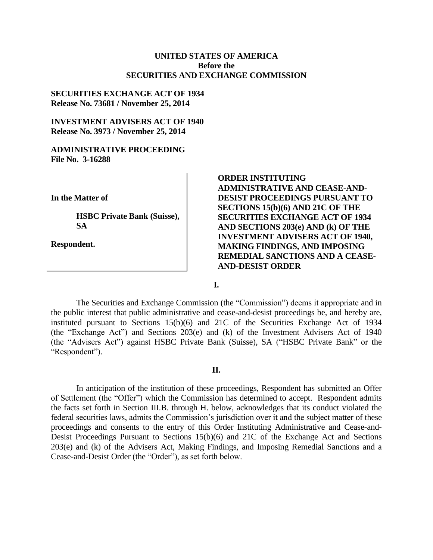### **UNITED STATES OF AMERICA Before the SECURITIES AND EXCHANGE COMMISSION**

### **SECURITIES EXCHANGE ACT OF 1934 Release No. 73681 / November 25, 2014**

### **INVESTMENT ADVISERS ACT OF 1940 Release No. 3973 / November 25, 2014**

#### **ADMINISTRATIVE PROCEEDING File No. 3-16288**

**In the Matter of**

**HSBC Private Bank (Suisse), SA**

**Respondent.**

## **ORDER INSTITUTING ADMINISTRATIVE AND CEASE-AND-DESIST PROCEEDINGS PURSUANT TO SECTIONS 15(b)(6) AND 21C OF THE SECURITIES EXCHANGE ACT OF 1934 AND SECTIONS 203(e) AND (k) OF THE INVESTMENT ADVISERS ACT OF 1940, MAKING FINDINGS, AND IMPOSING REMEDIAL SANCTIONS AND A CEASE-AND-DESIST ORDER**

**I.**

The Securities and Exchange Commission (the "Commission") deems it appropriate and in the public interest that public administrative and cease-and-desist proceedings be, and hereby are, instituted pursuant to Sections 15(b)(6) and 21C of the Securities Exchange Act of 1934 (the "Exchange Act") and Sections 203(e) and (k) of the Investment Advisers Act of 1940 (the "Advisers Act") against HSBC Private Bank (Suisse), SA ("HSBC Private Bank" or the "Respondent").

#### **II.**

In anticipation of the institution of these proceedings, Respondent has submitted an Offer of Settlement (the "Offer") which the Commission has determined to accept. Respondent admits the facts set forth in Section III.B. through H. below, acknowledges that its conduct violated the federal securities laws, admits the Commission's jurisdiction over it and the subject matter of these proceedings and consents to the entry of this Order Instituting Administrative and Cease-and-Desist Proceedings Pursuant to Sections 15(b)(6) and 21C of the Exchange Act and Sections 203(e) and (k) of the Advisers Act, Making Findings, and Imposing Remedial Sanctions and a Cease-and-Desist Order (the "Order"), as set forth below.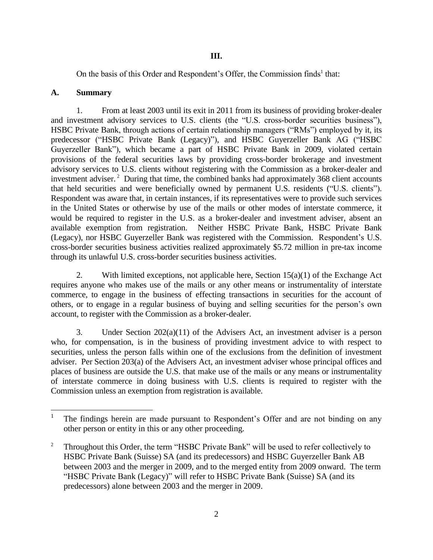On the basis of this Order and Respondent's Offer, the Commission finds<sup>1</sup> that:

## **A. Summary**

 $\overline{a}$ 

1. From at least 2003 until its exit in 2011 from its business of providing broker-dealer and investment advisory services to U.S. clients (the "U.S. cross-border securities business"), HSBC Private Bank, through actions of certain relationship managers ("RMs") employed by it, its predecessor ("HSBC Private Bank (Legacy)"), and HSBC Guyerzeller Bank AG ("HSBC Guyerzeller Bank"), which became a part of HSBC Private Bank in 2009, violated certain provisions of the federal securities laws by providing cross-border brokerage and investment advisory services to U.S. clients without registering with the Commission as a broker-dealer and investment adviser.<sup>2</sup> During that time, the combined banks had approximately 368 client accounts that held securities and were beneficially owned by permanent U.S. residents ("U.S. clients"). Respondent was aware that, in certain instances, if its representatives were to provide such services in the United States or otherwise by use of the mails or other modes of interstate commerce, it would be required to register in the U.S. as a broker-dealer and investment adviser, absent an available exemption from registration. Neither HSBC Private Bank, HSBC Private Bank (Legacy), nor HSBC Guyerzeller Bank was registered with the Commission. Respondent's U.S. cross-border securities business activities realized approximately \$5.72 million in pre-tax income through its unlawful U.S. cross-border securities business activities.

2. With limited exceptions, not applicable here, Section  $15(a)(1)$  of the Exchange Act requires anyone who makes use of the mails or any other means or instrumentality of interstate commerce, to engage in the business of effecting transactions in securities for the account of others, or to engage in a regular business of buying and selling securities for the person's own account, to register with the Commission as a broker-dealer.

3. Under Section 202(a)(11) of the Advisers Act, an investment adviser is a person who, for compensation, is in the business of providing investment advice to with respect to securities, unless the person falls within one of the exclusions from the definition of investment adviser. Per Section 203(a) of the Advisers Act, an investment adviser whose principal offices and places of business are outside the U.S. that make use of the mails or any means or instrumentality of interstate commerce in doing business with U.S. clients is required to register with the Commission unless an exemption from registration is available.

<sup>1</sup> The findings herein are made pursuant to Respondent's Offer and are not binding on any other person or entity in this or any other proceeding.

<sup>&</sup>lt;sup>2</sup> Throughout this Order, the term "HSBC Private Bank" will be used to refer collectively to HSBC Private Bank (Suisse) SA (and its predecessors) and HSBC Guyerzeller Bank AB between 2003 and the merger in 2009, and to the merged entity from 2009 onward. The term "HSBC Private Bank (Legacy)" will refer to HSBC Private Bank (Suisse) SA (and its predecessors) alone between 2003 and the merger in 2009.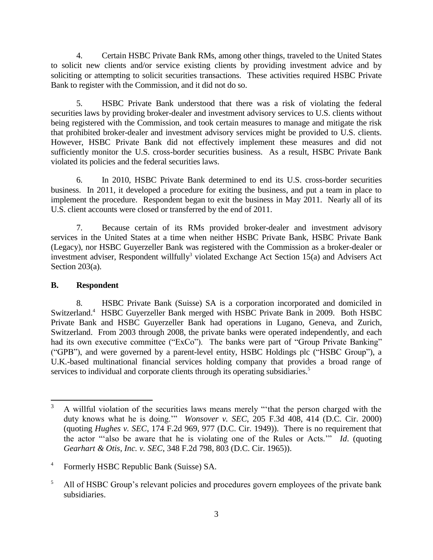4. Certain HSBC Private Bank RMs, among other things, traveled to the United States to solicit new clients and/or service existing clients by providing investment advice and by soliciting or attempting to solicit securities transactions. These activities required HSBC Private Bank to register with the Commission, and it did not do so.

5. HSBC Private Bank understood that there was a risk of violating the federal securities laws by providing broker-dealer and investment advisory services to U.S. clients without being registered with the Commission, and took certain measures to manage and mitigate the risk that prohibited broker-dealer and investment advisory services might be provided to U.S. clients. However, HSBC Private Bank did not effectively implement these measures and did not sufficiently monitor the U.S. cross-border securities business. As a result, HSBC Private Bank violated its policies and the federal securities laws.

6. In 2010, HSBC Private Bank determined to end its U.S. cross-border securities business. In 2011, it developed a procedure for exiting the business, and put a team in place to implement the procedure. Respondent began to exit the business in May 2011. Nearly all of its U.S. client accounts were closed or transferred by the end of 2011.

7. Because certain of its RMs provided broker-dealer and investment advisory services in the United States at a time when neither HSBC Private Bank, HSBC Private Bank (Legacy), nor HSBC Guyerzeller Bank was registered with the Commission as a broker-dealer or investment adviser, Respondent willfully<sup>3</sup> violated Exchange Act Section 15(a) and Advisers Act Section 203(a).

# **B. Respondent**

8. HSBC Private Bank (Suisse) SA is a corporation incorporated and domiciled in Switzerland.<sup>4</sup> HSBC Guyerzeller Bank merged with HSBC Private Bank in 2009. Both HSBC Private Bank and HSBC Guyerzeller Bank had operations in Lugano, Geneva, and Zurich, Switzerland. From 2003 through 2008, the private banks were operated independently, and each had its own executive committee ("ExCo"). The banks were part of "Group Private Banking" ("GPB"), and were governed by a parent-level entity, HSBC Holdings plc ("HSBC Group"), a U.K.-based multinational financial services holding company that provides a broad range of services to individual and corporate clients through its operating subsidiaries.<sup>5</sup>

<sup>3</sup> <sup>3</sup> A willful violation of the securities laws means merely "'that the person charged with the duty knows what he is doing.'" *Wonsover v. SEC*, 205 F.3d 408, 414 (D.C. Cir. 2000) (quoting *Hughes v. SEC*, 174 F.2d 969, 977 (D.C. Cir. 1949)). There is no requirement that the actor "'also be aware that he is violating one of the Rules or Acts.'" *Id*. (quoting *Gearhart & Otis, Inc. v. SEC*, 348 F.2d 798, 803 (D.C. Cir. 1965)).

<sup>4</sup> Formerly HSBC Republic Bank (Suisse) SA.

<sup>&</sup>lt;sup>5</sup> All of HSBC Group's relevant policies and procedures govern employees of the private bank subsidiaries.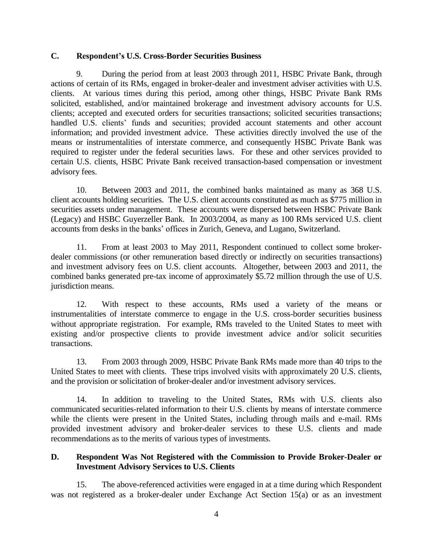### **C. Respondent's U.S. Cross-Border Securities Business**

9. During the period from at least 2003 through 2011, HSBC Private Bank, through actions of certain of its RMs, engaged in broker-dealer and investment adviser activities with U.S. clients. At various times during this period, among other things, HSBC Private Bank RMs solicited, established, and/or maintained brokerage and investment advisory accounts for U.S. clients; accepted and executed orders for securities transactions; solicited securities transactions; handled U.S. clients' funds and securities; provided account statements and other account information; and provided investment advice. These activities directly involved the use of the means or instrumentalities of interstate commerce, and consequently HSBC Private Bank was required to register under the federal securities laws. For these and other services provided to certain U.S. clients, HSBC Private Bank received transaction-based compensation or investment advisory fees.

10. Between 2003 and 2011, the combined banks maintained as many as 368 U.S. client accounts holding securities. The U.S. client accounts constituted as much as \$775 million in securities assets under management. These accounts were dispersed between HSBC Private Bank (Legacy) and HSBC Guyerzeller Bank. In 2003/2004, as many as 100 RMs serviced U.S. client accounts from desks in the banks' offices in Zurich, Geneva, and Lugano, Switzerland.

11. From at least 2003 to May 2011, Respondent continued to collect some brokerdealer commissions (or other remuneration based directly or indirectly on securities transactions) and investment advisory fees on U.S. client accounts. Altogether, between 2003 and 2011, the combined banks generated pre-tax income of approximately \$5.72 million through the use of U.S. jurisdiction means.

12. With respect to these accounts, RMs used a variety of the means or instrumentalities of interstate commerce to engage in the U.S. cross-border securities business without appropriate registration. For example, RMs traveled to the United States to meet with existing and/or prospective clients to provide investment advice and/or solicit securities transactions.

13. From 2003 through 2009, HSBC Private Bank RMs made more than 40 trips to the United States to meet with clients. These trips involved visits with approximately 20 U.S. clients, and the provision or solicitation of broker-dealer and/or investment advisory services.

14. In addition to traveling to the United States, RMs with U.S. clients also communicated securities-related information to their U.S. clients by means of interstate commerce while the clients were present in the United States, including through mails and e-mail. RMs provided investment advisory and broker-dealer services to these U.S. clients and made recommendations as to the merits of various types of investments.

## **D. Respondent Was Not Registered with the Commission to Provide Broker-Dealer or Investment Advisory Services to U.S. Clients**

15. The above-referenced activities were engaged in at a time during which Respondent was not registered as a broker-dealer under Exchange Act Section 15(a) or as an investment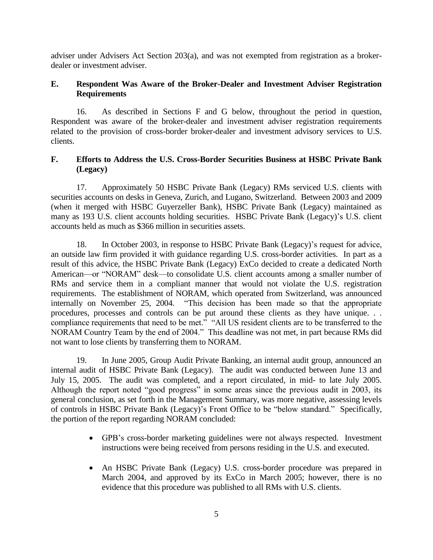adviser under Advisers Act Section 203(a), and was not exempted from registration as a brokerdealer or investment adviser.

# **E. Respondent Was Aware of the Broker-Dealer and Investment Adviser Registration Requirements**

16. As described in Sections F and G below, throughout the period in question, Respondent was aware of the broker-dealer and investment adviser registration requirements related to the provision of cross-border broker-dealer and investment advisory services to U.S. clients.

# **F. Efforts to Address the U.S. Cross-Border Securities Business at HSBC Private Bank (Legacy)**

17. Approximately 50 HSBC Private Bank (Legacy) RMs serviced U.S. clients with securities accounts on desks in Geneva, Zurich, and Lugano, Switzerland. Between 2003 and 2009 (when it merged with HSBC Guyerzeller Bank), HSBC Private Bank (Legacy) maintained as many as 193 U.S. client accounts holding securities. HSBC Private Bank (Legacy)'s U.S. client accounts held as much as \$366 million in securities assets.

18. In October 2003, in response to HSBC Private Bank (Legacy)'s request for advice, an outside law firm provided it with guidance regarding U.S. cross-border activities. In part as a result of this advice, the HSBC Private Bank (Legacy) ExCo decided to create a dedicated North American—or "NORAM" desk—to consolidate U.S. client accounts among a smaller number of RMs and service them in a compliant manner that would not violate the U.S. registration requirements. The establishment of NORAM, which operated from Switzerland, was announced internally on November 25, 2004. "This decision has been made so that the appropriate procedures, processes and controls can be put around these clients as they have unique. . . compliance requirements that need to be met." "All US resident clients are to be transferred to the NORAM Country Team by the end of 2004." This deadline was not met, in part because RMs did not want to lose clients by transferring them to NORAM.

19. In June 2005, Group Audit Private Banking, an internal audit group, announced an internal audit of HSBC Private Bank (Legacy). The audit was conducted between June 13 and July 15, 2005. The audit was completed, and a report circulated, in mid- to late July 2005. Although the report noted "good progress" in some areas since the previous audit in 2003, its general conclusion, as set forth in the Management Summary, was more negative, assessing levels of controls in HSBC Private Bank (Legacy)'s Front Office to be "below standard." Specifically, the portion of the report regarding NORAM concluded:

- GPB's cross-border marketing guidelines were not always respected. Investment instructions were being received from persons residing in the U.S. and executed.
- An HSBC Private Bank (Legacy) U.S. cross-border procedure was prepared in March 2004, and approved by its ExCo in March 2005; however, there is no evidence that this procedure was published to all RMs with U.S. clients.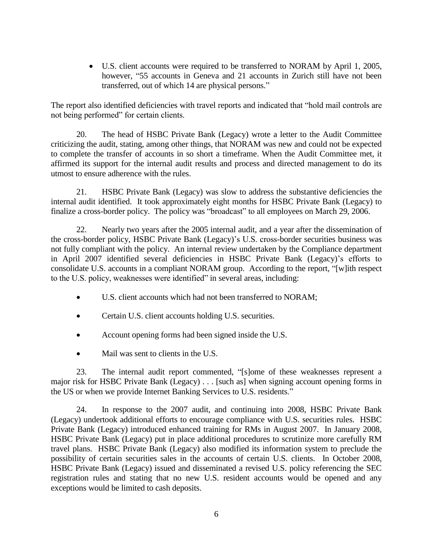U.S. client accounts were required to be transferred to NORAM by April 1, 2005, however, "55 accounts in Geneva and 21 accounts in Zurich still have not been transferred, out of which 14 are physical persons."

The report also identified deficiencies with travel reports and indicated that "hold mail controls are not being performed" for certain clients.

20. The head of HSBC Private Bank (Legacy) wrote a letter to the Audit Committee criticizing the audit, stating, among other things, that NORAM was new and could not be expected to complete the transfer of accounts in so short a timeframe. When the Audit Committee met, it affirmed its support for the internal audit results and process and directed management to do its utmost to ensure adherence with the rules.

21. HSBC Private Bank (Legacy) was slow to address the substantive deficiencies the internal audit identified. It took approximately eight months for HSBC Private Bank (Legacy) to finalize a cross-border policy. The policy was "broadcast" to all employees on March 29, 2006.

22. Nearly two years after the 2005 internal audit, and a year after the dissemination of the cross-border policy, HSBC Private Bank (Legacy)'s U.S. cross-border securities business was not fully compliant with the policy. An internal review undertaken by the Compliance department in April 2007 identified several deficiencies in HSBC Private Bank (Legacy)'s efforts to consolidate U.S. accounts in a compliant NORAM group. According to the report, "[w]ith respect to the U.S. policy, weaknesses were identified" in several areas, including:

- U.S. client accounts which had not been transferred to NORAM;
- Certain U.S. client accounts holding U.S. securities.
- Account opening forms had been signed inside the U.S.
- Mail was sent to clients in the U.S.

23. The internal audit report commented, "[s]ome of these weaknesses represent a major risk for HSBC Private Bank (Legacy) . . . [such as] when signing account opening forms in the US or when we provide Internet Banking Services to U.S. residents."

24. In response to the 2007 audit, and continuing into 2008, HSBC Private Bank (Legacy) undertook additional efforts to encourage compliance with U.S. securities rules. HSBC Private Bank (Legacy) introduced enhanced training for RMs in August 2007. In January 2008, HSBC Private Bank (Legacy) put in place additional procedures to scrutinize more carefully RM travel plans. HSBC Private Bank (Legacy) also modified its information system to preclude the possibility of certain securities sales in the accounts of certain U.S. clients. In October 2008, HSBC Private Bank (Legacy) issued and disseminated a revised U.S. policy referencing the SEC registration rules and stating that no new U.S. resident accounts would be opened and any exceptions would be limited to cash deposits.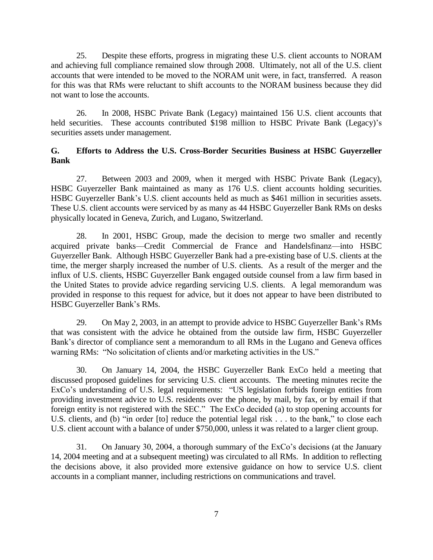25. Despite these efforts, progress in migrating these U.S. client accounts to NORAM and achieving full compliance remained slow through 2008. Ultimately, not all of the U.S. client accounts that were intended to be moved to the NORAM unit were, in fact, transferred. A reason for this was that RMs were reluctant to shift accounts to the NORAM business because they did not want to lose the accounts.

26. In 2008, HSBC Private Bank (Legacy) maintained 156 U.S. client accounts that held securities. These accounts contributed \$198 million to HSBC Private Bank (Legacy)'s securities assets under management.

### **G. Efforts to Address the U.S. Cross-Border Securities Business at HSBC Guyerzeller Bank**

27. Between 2003 and 2009, when it merged with HSBC Private Bank (Legacy), HSBC Guyerzeller Bank maintained as many as 176 U.S. client accounts holding securities. HSBC Guyerzeller Bank's U.S. client accounts held as much as \$461 million in securities assets. These U.S. client accounts were serviced by as many as 44 HSBC Guyerzeller Bank RMs on desks physically located in Geneva, Zurich, and Lugano, Switzerland.

28. In 2001, HSBC Group, made the decision to merge two smaller and recently acquired private banks—Credit Commercial de France and Handelsfinanz—into HSBC Guyerzeller Bank. Although HSBC Guyerzeller Bank had a pre-existing base of U.S. clients at the time, the merger sharply increased the number of U.S. clients. As a result of the merger and the influx of U.S. clients, HSBC Guyerzeller Bank engaged outside counsel from a law firm based in the United States to provide advice regarding servicing U.S. clients. A legal memorandum was provided in response to this request for advice, but it does not appear to have been distributed to HSBC Guyerzeller Bank's RMs.

29. On May 2, 2003, in an attempt to provide advice to HSBC Guyerzeller Bank's RMs that was consistent with the advice he obtained from the outside law firm, HSBC Guyerzeller Bank's director of compliance sent a memorandum to all RMs in the Lugano and Geneva offices warning RMs: "No solicitation of clients and/or marketing activities in the US."

30. On January 14, 2004, the HSBC Guyerzeller Bank ExCo held a meeting that discussed proposed guidelines for servicing U.S. client accounts. The meeting minutes recite the ExCo's understanding of U.S. legal requirements: "US legislation forbids foreign entities from providing investment advice to U.S. residents over the phone, by mail, by fax, or by email if that foreign entity is not registered with the SEC." The ExCo decided (a) to stop opening accounts for U.S. clients, and (b) "in order [to] reduce the potential legal risk . . . to the bank," to close each U.S. client account with a balance of under \$750,000, unless it was related to a larger client group.

31. On January 30, 2004, a thorough summary of the ExCo's decisions (at the January 14, 2004 meeting and at a subsequent meeting) was circulated to all RMs. In addition to reflecting the decisions above, it also provided more extensive guidance on how to service U.S. client accounts in a compliant manner, including restrictions on communications and travel.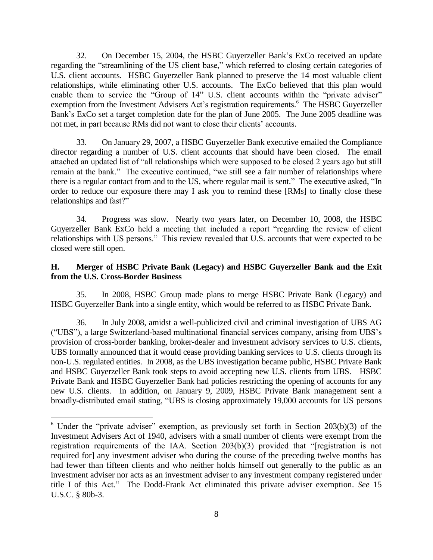32. On December 15, 2004, the HSBC Guyerzeller Bank's ExCo received an update regarding the "streamlining of the US client base," which referred to closing certain categories of U.S. client accounts. HSBC Guyerzeller Bank planned to preserve the 14 most valuable client relationships, while eliminating other U.S. accounts. The ExCo believed that this plan would enable them to service the "Group of 14" U.S. client accounts within the "private adviser" exemption from the Investment Advisers Act's registration requirements.<sup>6</sup> The HSBC Guyerzeller Bank's ExCo set a target completion date for the plan of June 2005. The June 2005 deadline was not met, in part because RMs did not want to close their clients' accounts.

33. On January 29, 2007, a HSBC Guyerzeller Bank executive emailed the Compliance director regarding a number of U.S. client accounts that should have been closed. The email attached an updated list of "all relationships which were supposed to be closed 2 years ago but still remain at the bank." The executive continued, "we still see a fair number of relationships where there is a regular contact from and to the US, where regular mail is sent." The executive asked, "In order to reduce our exposure there may I ask you to remind these [RMs] to finally close these relationships and fast?"

34. Progress was slow. Nearly two years later, on December 10, 2008, the HSBC Guyerzeller Bank ExCo held a meeting that included a report "regarding the review of client relationships with US persons." This review revealed that U.S. accounts that were expected to be closed were still open.

# **H. Merger of HSBC Private Bank (Legacy) and HSBC Guyerzeller Bank and the Exit from the U.S. Cross-Border Business**

35. In 2008, HSBC Group made plans to merge HSBC Private Bank (Legacy) and HSBC Guyerzeller Bank into a single entity, which would be referred to as HSBC Private Bank.

36. In July 2008, amidst a well-publicized civil and criminal investigation of UBS AG ("UBS"), a large Switzerland-based multinational financial services company, arising from UBS's provision of cross-border banking, broker-dealer and investment advisory services to U.S. clients, UBS formally announced that it would cease providing banking services to U.S. clients through its non-U.S. regulated entities. In 2008, as the UBS investigation became public, HSBC Private Bank and HSBC Guyerzeller Bank took steps to avoid accepting new U.S. clients from UBS. HSBC Private Bank and HSBC Guyerzeller Bank had policies restricting the opening of accounts for any new U.S. clients. In addition, on January 9, 2009, HSBC Private Bank management sent a broadly-distributed email stating, "UBS is closing approximately 19,000 accounts for US persons

 $\overline{a}$ 

 $6$  Under the "private adviser" exemption, as previously set forth in Section 203(b)(3) of the Investment Advisers Act of 1940, advisers with a small number of clients were exempt from the registration requirements of the IAA. Section 203(b)(3) provided that "[registration is not required for] any investment adviser who during the course of the preceding twelve months has had fewer than fifteen clients and who neither holds himself out generally to the public as an investment adviser nor acts as an investment adviser to any investment company registered under title I of this Act." The Dodd-Frank Act eliminated this private adviser exemption. *See* 15 U.S.C. § 80b-3.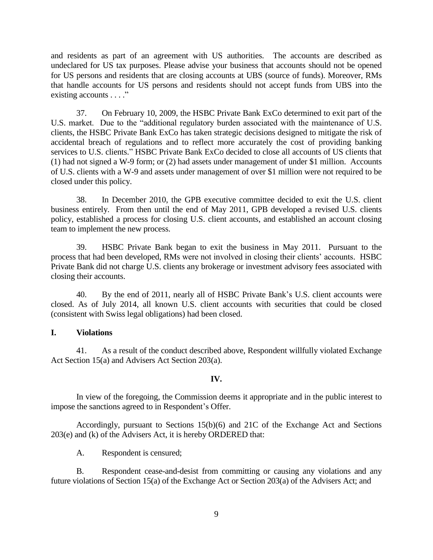and residents as part of an agreement with US authorities. The accounts are described as undeclared for US tax purposes. Please advise your business that accounts should not be opened for US persons and residents that are closing accounts at UBS (source of funds). Moreover, RMs that handle accounts for US persons and residents should not accept funds from UBS into the existing accounts . . . ."

37. On February 10, 2009, the HSBC Private Bank ExCo determined to exit part of the U.S. market. Due to the "additional regulatory burden associated with the maintenance of U.S. clients, the HSBC Private Bank ExCo has taken strategic decisions designed to mitigate the risk of accidental breach of regulations and to reflect more accurately the cost of providing banking services to U.S. clients." HSBC Private Bank ExCo decided to close all accounts of US clients that (1) had not signed a W-9 form; or (2) had assets under management of under \$1 million. Accounts of U.S. clients with a W-9 and assets under management of over \$1 million were not required to be closed under this policy.

38. In December 2010, the GPB executive committee decided to exit the U.S. client business entirely. From then until the end of May 2011, GPB developed a revised U.S. clients policy, established a process for closing U.S. client accounts, and established an account closing team to implement the new process.

39. HSBC Private Bank began to exit the business in May 2011. Pursuant to the process that had been developed, RMs were not involved in closing their clients' accounts. HSBC Private Bank did not charge U.S. clients any brokerage or investment advisory fees associated with closing their accounts.

40. By the end of 2011, nearly all of HSBC Private Bank's U.S. client accounts were closed. As of July 2014, all known U.S. client accounts with securities that could be closed (consistent with Swiss legal obligations) had been closed.

### **I. Violations**

41. As a result of the conduct described above, Respondent willfully violated Exchange Act Section 15(a) and Advisers Act Section 203(a).

#### **IV.**

In view of the foregoing, the Commission deems it appropriate and in the public interest to impose the sanctions agreed to in Respondent's Offer.

Accordingly, pursuant to Sections 15(b)(6) and 21C of the Exchange Act and Sections 203(e) and (k) of the Advisers Act, it is hereby ORDERED that:

A. Respondent is censured;

B. Respondent cease-and-desist from committing or causing any violations and any future violations of Section 15(a) of the Exchange Act or Section 203(a) of the Advisers Act; and